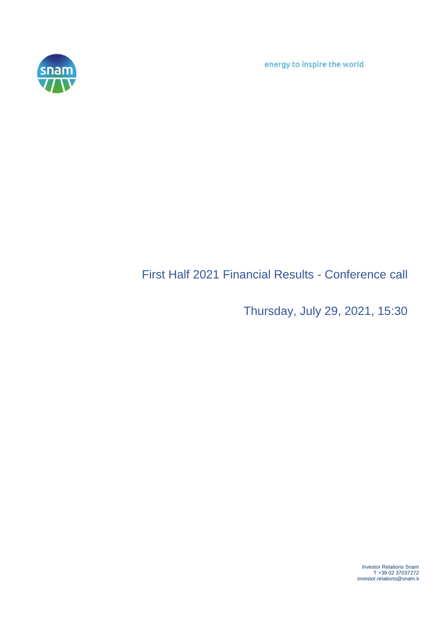energy to inspire the world



## First Half 2021 Financial Results - Conference call

Thursday, July 29, 2021, 15:30

Investor Relations Snam T +39 02 37037272 investor.relations@snam.it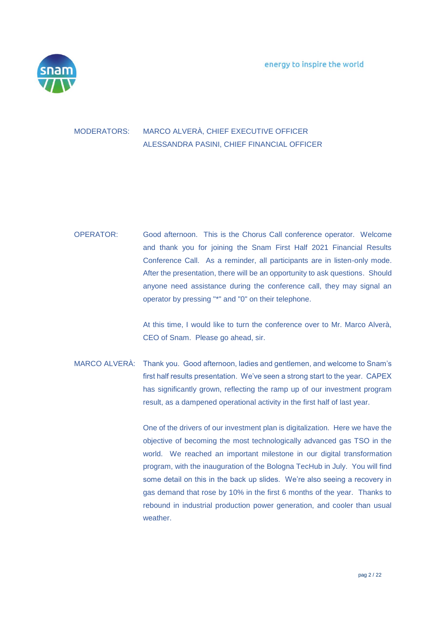

## MODERATORS: MARCO ALVERÀ, CHIEF EXECUTIVE OFFICER ALESSANDRA PASINI, CHIEF FINANCIAL OFFICER

OPERATOR: Good afternoon. This is the Chorus Call conference operator. Welcome and thank you for joining the Snam First Half 2021 Financial Results Conference Call. As a reminder, all participants are in listen-only mode. After the presentation, there will be an opportunity to ask questions. Should anyone need assistance during the conference call, they may signal an operator by pressing "\*" and "0" on their telephone.

> At this time, I would like to turn the conference over to Mr. Marco Alverà, CEO of Snam. Please go ahead, sir.

MARCO ALVERÀ: Thank you. Good afternoon, ladies and gentlemen, and welcome to Snam's first half results presentation. We've seen a strong start to the year. CAPEX has significantly grown, reflecting the ramp up of our investment program result, as a dampened operational activity in the first half of last year.

> One of the drivers of our investment plan is digitalization. Here we have the objective of becoming the most technologically advanced gas TSO in the world. We reached an important milestone in our digital transformation program, with the inauguration of the Bologna TecHub in July. You will find some detail on this in the back up slides. We're also seeing a recovery in gas demand that rose by 10% in the first 6 months of the year. Thanks to rebound in industrial production power generation, and cooler than usual weather.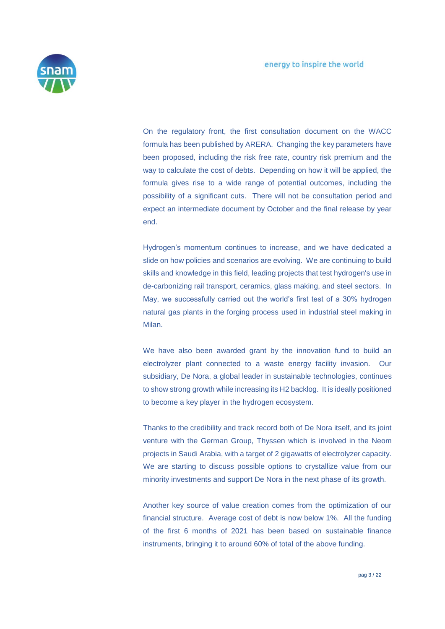

On the regulatory front, the first consultation document on the WACC formula has been published by ARERA. Changing the key parameters have been proposed, including the risk free rate, country risk premium and the way to calculate the cost of debts. Depending on how it will be applied, the formula gives rise to a wide range of potential outcomes, including the possibility of a significant cuts. There will not be consultation period and expect an intermediate document by October and the final release by year end.

Hydrogen's momentum continues to increase, and we have dedicated a slide on how policies and scenarios are evolving. We are continuing to build skills and knowledge in this field, leading projects that test hydrogen's use in de-carbonizing rail transport, ceramics, glass making, and steel sectors. In May, we successfully carried out the world's first test of a 30% hydrogen natural gas plants in the forging process used in industrial steel making in Milan.

We have also been awarded grant by the innovation fund to build an electrolyzer plant connected to a waste energy facility invasion. Our subsidiary, De Nora, a global leader in sustainable technologies, continues to show strong growth while increasing its H2 backlog. It is ideally positioned to become a key player in the hydrogen ecosystem.

Thanks to the credibility and track record both of De Nora itself, and its joint venture with the German Group, Thyssen which is involved in the Neom projects in Saudi Arabia, with a target of 2 gigawatts of electrolyzer capacity. We are starting to discuss possible options to crystallize value from our minority investments and support De Nora in the next phase of its growth.

Another key source of value creation comes from the optimization of our financial structure. Average cost of debt is now below 1%. All the funding of the first 6 months of 2021 has been based on sustainable finance instruments, bringing it to around 60% of total of the above funding.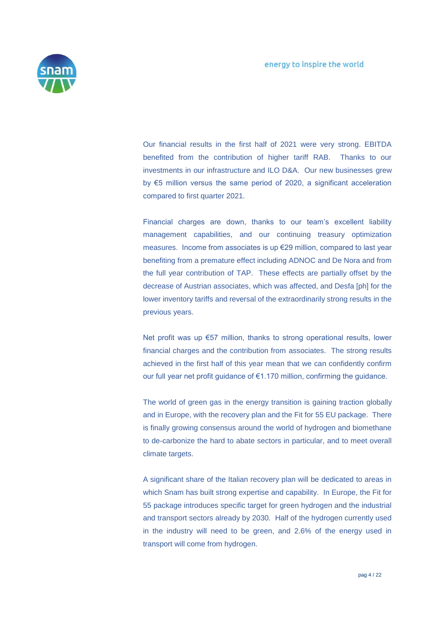

Our financial results in the first half of 2021 were very strong. EBITDA benefited from the contribution of higher tariff RAB. Thanks to our investments in our infrastructure and ILO D&A. Our new businesses grew by €5 million versus the same period of 2020, a significant acceleration compared to first quarter 2021.

Financial charges are down, thanks to our team's excellent liability management capabilities, and our continuing treasury optimization measures. Income from associates is up €29 million, compared to last year benefiting from a premature effect including ADNOC and De Nora and from the full year contribution of TAP. These effects are partially offset by the decrease of Austrian associates, which was affected, and Desfa [ph] for the lower inventory tariffs and reversal of the extraordinarily strong results in the previous years.

Net profit was up €57 million, thanks to strong operational results, lower financial charges and the contribution from associates. The strong results achieved in the first half of this year mean that we can confidently confirm our full year net profit guidance of €1.170 million, confirming the guidance.

The world of green gas in the energy transition is gaining traction globally and in Europe, with the recovery plan and the Fit for 55 EU package. There is finally growing consensus around the world of hydrogen and biomethane to de-carbonize the hard to abate sectors in particular, and to meet overall climate targets.

A significant share of the Italian recovery plan will be dedicated to areas in which Snam has built strong expertise and capability. In Europe, the Fit for 55 package introduces specific target for green hydrogen and the industrial and transport sectors already by 2030. Half of the hydrogen currently used in the industry will need to be green, and 2.6% of the energy used in transport will come from hydrogen.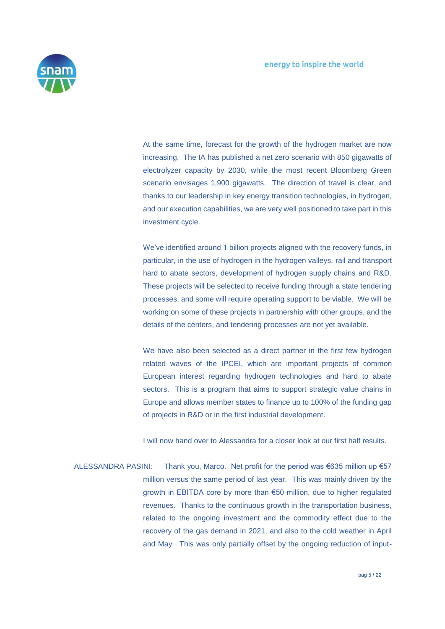

At the same time, forecast for the growth of the hydrogen market are now increasing. The IA has published a net zero scenario with 850 gigawatts of electrolyzer capacity by 2030, while the most recent Bloomberg Green scenario envisages 1,900 gigawatts. The direction of travel is clear, and thanks to our leadership in key energy transition technologies, in hydrogen, and our execution capabilities, we are very well positioned to take part in this investment cycle.

We've identified around 1 billion projects aligned with the recovery funds, in particular, in the use of hydrogen in the hydrogen valleys, rail and transport hard to abate sectors, development of hydrogen supply chains and R&D. These projects will be selected to receive funding through a state tendering processes, and some will require operating support to be viable. We will be working on some of these projects in partnership with other groups, and the details of the centers, and tendering processes are not yet available.

We have also been selected as a direct partner in the first few hydrogen related waves of the IPCEI, which are important projects of common European interest regarding hydrogen technologies and hard to abate sectors. This is a program that aims to support strategic value chains in Europe and allows member states to finance up to 100% of the funding gap of projects in R&D or in the first industrial development.

I will now hand over to Alessandra for a closer look at our first half results.

ALESSANDRA PASINI: Thank you, Marco. Net profit for the period was €635 million up €57 million versus the same period of last year. This was mainly driven by the growth in EBITDA core by more than €50 million, due to higher regulated revenues. Thanks to the continuous growth in the transportation business, related to the ongoing investment and the commodity effect due to the recovery of the gas demand in 2021, and also to the cold weather in April and May. This was only partially offset by the ongoing reduction of input-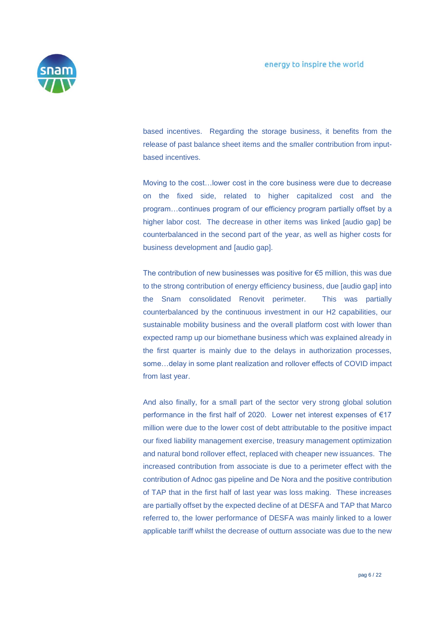

based incentives. Regarding the storage business, it benefits from the release of past balance sheet items and the smaller contribution from inputbased incentives.

Moving to the cost…lower cost in the core business were due to decrease on the fixed side, related to higher capitalized cost and the program…continues program of our efficiency program partially offset by a higher labor cost. The decrease in other items was linked [audio gap] be counterbalanced in the second part of the year, as well as higher costs for business development and [audio gap].

The contribution of new businesses was positive for €5 million, this was due to the strong contribution of energy efficiency business, due [audio gap] into the Snam consolidated Renovit perimeter. This was partially counterbalanced by the continuous investment in our H2 capabilities, our sustainable mobility business and the overall platform cost with lower than expected ramp up our biomethane business which was explained already in the first quarter is mainly due to the delays in authorization processes, some…delay in some plant realization and rollover effects of COVID impact from last year.

And also finally, for a small part of the sector very strong global solution performance in the first half of 2020. Lower net interest expenses of €17 million were due to the lower cost of debt attributable to the positive impact our fixed liability management exercise, treasury management optimization and natural bond rollover effect, replaced with cheaper new issuances. The increased contribution from associate is due to a perimeter effect with the contribution of Adnoc gas pipeline and De Nora and the positive contribution of TAP that in the first half of last year was loss making. These increases are partially offset by the expected decline of at DESFA and TAP that Marco referred to, the lower performance of DESFA was mainly linked to a lower applicable tariff whilst the decrease of outturn associate was due to the new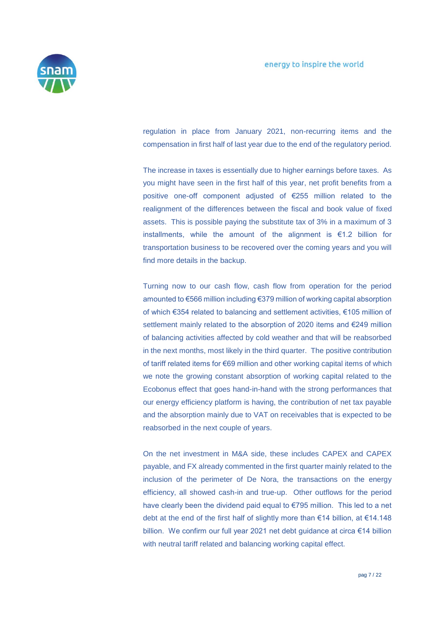

regulation in place from January 2021, non-recurring items and the compensation in first half of last year due to the end of the regulatory period.

The increase in taxes is essentially due to higher earnings before taxes. As you might have seen in the first half of this year, net profit benefits from a positive one-off component adjusted of €255 million related to the realignment of the differences between the fiscal and book value of fixed assets. This is possible paying the substitute tax of 3% in a maximum of 3 installments, while the amount of the alignment is €1.2 billion for transportation business to be recovered over the coming years and you will find more details in the backup.

Turning now to our cash flow, cash flow from operation for the period amounted to €566 million including €379 million of working capital absorption of which €354 related to balancing and settlement activities, €105 million of settlement mainly related to the absorption of 2020 items and €249 million of balancing activities affected by cold weather and that will be reabsorbed in the next months, most likely in the third quarter. The positive contribution of tariff related items for €69 million and other working capital items of which we note the growing constant absorption of working capital related to the Ecobonus effect that goes hand-in-hand with the strong performances that our energy efficiency platform is having, the contribution of net tax payable and the absorption mainly due to VAT on receivables that is expected to be reabsorbed in the next couple of years.

On the net investment in M&A side, these includes CAPEX and CAPEX payable, and FX already commented in the first quarter mainly related to the inclusion of the perimeter of De Nora, the transactions on the energy efficiency, all showed cash-in and true-up. Other outflows for the period have clearly been the dividend paid equal to €795 million. This led to a net debt at the end of the first half of slightly more than €14 billion, at €14.148 billion. We confirm our full year 2021 net debt guidance at circa €14 billion with neutral tariff related and balancing working capital effect.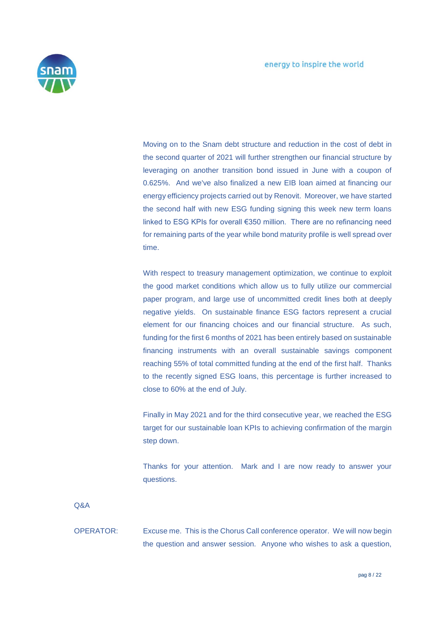

Moving on to the Snam debt structure and reduction in the cost of debt in the second quarter of 2021 will further strengthen our financial structure by leveraging on another transition bond issued in June with a coupon of 0.625%. And we've also finalized a new EIB loan aimed at financing our energy efficiency projects carried out by Renovit. Moreover, we have started the second half with new ESG funding signing this week new term loans linked to ESG KPIs for overall €350 million. There are no refinancing need for remaining parts of the year while bond maturity profile is well spread over time.

With respect to treasury management optimization, we continue to exploit the good market conditions which allow us to fully utilize our commercial paper program, and large use of uncommitted credit lines both at deeply negative yields. On sustainable finance ESG factors represent a crucial element for our financing choices and our financial structure. As such, funding for the first 6 months of 2021 has been entirely based on sustainable financing instruments with an overall sustainable savings component reaching 55% of total committed funding at the end of the first half. Thanks to the recently signed ESG loans, this percentage is further increased to close to 60% at the end of July.

Finally in May 2021 and for the third consecutive year, we reached the ESG target for our sustainable loan KPIs to achieving confirmation of the margin step down.

Thanks for your attention. Mark and I are now ready to answer your questions.

Q&A

OPERATOR: Excuse me. This is the Chorus Call conference operator. We will now begin the question and answer session. Anyone who wishes to ask a question,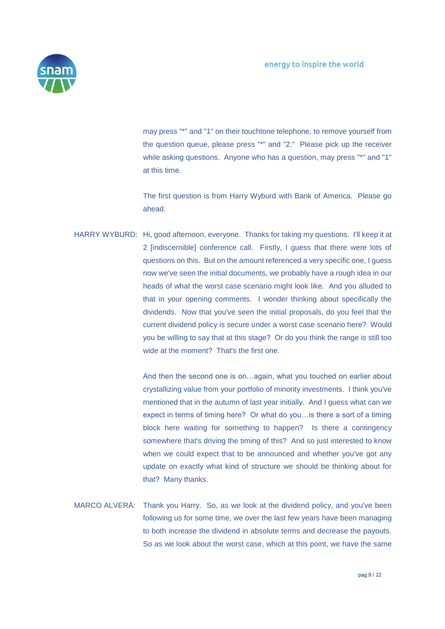

may press "\*" and "1" on their touchtone telephone, to remove yourself from the question queue, please press "\*" and "2." Please pick up the receiver while asking questions. Anyone who has a question, may press "\*" and "1" at this time.

The first question is from Harry Wyburd with Bank of America. Please go ahead.

HARRY WYBURD: Hi, good afternoon, everyone. Thanks for taking my questions. I'll keep it at 2 [indiscernible] conference call. Firstly, I guess that there were lots of questions on this. But on the amount referenced a very specific one, I guess now we've seen the initial documents, we probably have a rough idea in our heads of what the worst case scenario might look like. And you alluded to that in your opening comments. I wonder thinking about specifically the dividends. Now that you've seen the initial proposals, do you feel that the current dividend policy is secure under a worst case scenario here? Would you be willing to say that at this stage? Or do you think the range is still too wide at the moment? That's the first one.

> And then the second one is on…again, what you touched on earlier about crystallizing value from your portfolio of minority investments. I think you've mentioned that in the autumn of last year initially. And I guess what can we expect in terms of timing here? Or what do you…is there a sort of a timing block here waiting for something to happen? Is there a contingency somewhere that's driving the timing of this? And so just interested to know when we could expect that to be announced and whether you've got any update on exactly what kind of structure we should be thinking about for that? Many thanks.

MARCO ALVERÀ: Thank you Harry. So, as we look at the dividend policy, and you've been following us for some time, we over the last few years have been managing to both increase the dividend in absolute terms and decrease the payouts. So as we look about the worst case, which at this point, we have the same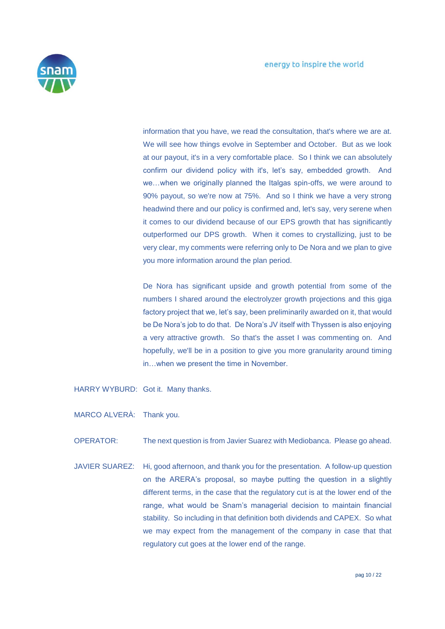

information that you have, we read the consultation, that's where we are at. We will see how things evolve in September and October. But as we look at our payout, it's in a very comfortable place. So I think we can absolutely confirm our dividend policy with it's, let's say, embedded growth. And we…when we originally planned the Italgas spin-offs, we were around to 90% payout, so we're now at 75%. And so I think we have a very strong headwind there and our policy is confirmed and, let's say, very serene when it comes to our dividend because of our EPS growth that has significantly outperformed our DPS growth. When it comes to crystallizing, just to be very clear, my comments were referring only to De Nora and we plan to give you more information around the plan period.

De Nora has significant upside and growth potential from some of the numbers I shared around the electrolyzer growth projections and this giga factory project that we, let's say, been preliminarily awarded on it, that would be De Nora's job to do that. De Nora's JV itself with Thyssen is also enjoying a very attractive growth. So that's the asset I was commenting on. And hopefully, we'll be in a position to give you more granularity around timing in…when we present the time in November.

- HARRY WYBURD: Got it. Many thanks.
- MARCO ALVERÀ: Thank you.
- OPERATOR: The next question is from Javier Suarez with Mediobanca. Please go ahead.
- JAVIER SUAREZ: Hi, good afternoon, and thank you for the presentation. A follow-up question on the ARERA's proposal, so maybe putting the question in a slightly different terms, in the case that the regulatory cut is at the lower end of the range, what would be Snam's managerial decision to maintain financial stability. So including in that definition both dividends and CAPEX. So what we may expect from the management of the company in case that that regulatory cut goes at the lower end of the range.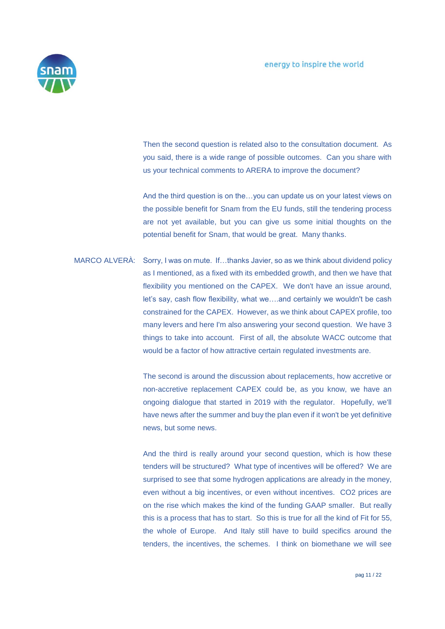

Then the second question is related also to the consultation document. As you said, there is a wide range of possible outcomes. Can you share with us your technical comments to ARERA to improve the document?

And the third question is on the…you can update us on your latest views on the possible benefit for Snam from the EU funds, still the tendering process are not yet available, but you can give us some initial thoughts on the potential benefit for Snam, that would be great. Many thanks.

MARCO ALVERÀ: Sorry, I was on mute. If…thanks Javier, so as we think about dividend policy as I mentioned, as a fixed with its embedded growth, and then we have that flexibility you mentioned on the CAPEX. We don't have an issue around, let's say, cash flow flexibility, what we….and certainly we wouldn't be cash constrained for the CAPEX. However, as we think about CAPEX profile, too many levers and here I'm also answering your second question. We have 3 things to take into account. First of all, the absolute WACC outcome that would be a factor of how attractive certain regulated investments are.

> The second is around the discussion about replacements, how accretive or non-accretive replacement CAPEX could be, as you know, we have an ongoing dialogue that started in 2019 with the regulator. Hopefully, we'll have news after the summer and buy the plan even if it won't be yet definitive news, but some news.

> And the third is really around your second question, which is how these tenders will be structured? What type of incentives will be offered? We are surprised to see that some hydrogen applications are already in the money, even without a big incentives, or even without incentives. CO2 prices are on the rise which makes the kind of the funding GAAP smaller. But really this is a process that has to start. So this is true for all the kind of Fit for 55, the whole of Europe. And Italy still have to build specifics around the tenders, the incentives, the schemes. I think on biomethane we will see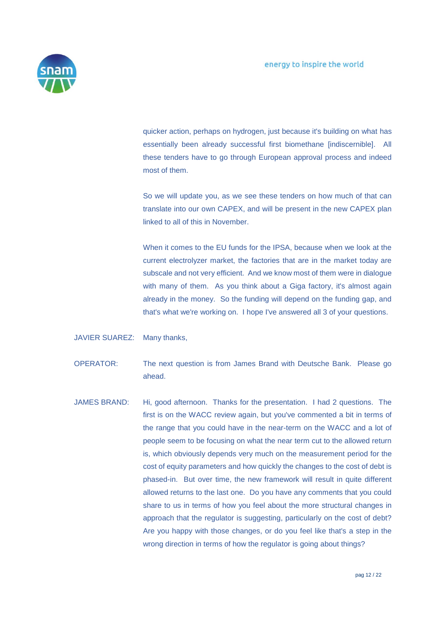

quicker action, perhaps on hydrogen, just because it's building on what has essentially been already successful first biomethane [indiscernible]. All these tenders have to go through European approval process and indeed most of them.

So we will update you, as we see these tenders on how much of that can translate into our own CAPEX, and will be present in the new CAPEX plan linked to all of this in November.

When it comes to the EU funds for the IPSA, because when we look at the current electrolyzer market, the factories that are in the market today are subscale and not very efficient. And we know most of them were in dialogue with many of them. As you think about a Giga factory, it's almost again already in the money. So the funding will depend on the funding gap, and that's what we're working on. I hope I've answered all 3 of your questions.

## JAVIER SUAREZ: Many thanks,

- OPERATOR: The next question is from James Brand with Deutsche Bank. Please go ahead.
- JAMES BRAND: Hi, good afternoon. Thanks for the presentation. I had 2 questions. The first is on the WACC review again, but you've commented a bit in terms of the range that you could have in the near-term on the WACC and a lot of people seem to be focusing on what the near term cut to the allowed return is, which obviously depends very much on the measurement period for the cost of equity parameters and how quickly the changes to the cost of debt is phased-in. But over time, the new framework will result in quite different allowed returns to the last one. Do you have any comments that you could share to us in terms of how you feel about the more structural changes in approach that the regulator is suggesting, particularly on the cost of debt? Are you happy with those changes, or do you feel like that's a step in the wrong direction in terms of how the regulator is going about things?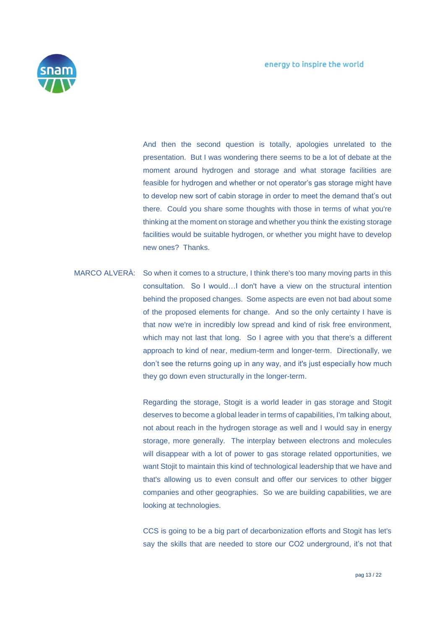

And then the second question is totally, apologies unrelated to the presentation. But I was wondering there seems to be a lot of debate at the moment around hydrogen and storage and what storage facilities are feasible for hydrogen and whether or not operator's gas storage might have to develop new sort of cabin storage in order to meet the demand that's out there. Could you share some thoughts with those in terms of what you're thinking at the moment on storage and whether you think the existing storage facilities would be suitable hydrogen, or whether you might have to develop new ones? Thanks.

MARCO ALVERÀ: So when it comes to a structure, I think there's too many moving parts in this consultation. So I would…I don't have a view on the structural intention behind the proposed changes. Some aspects are even not bad about some of the proposed elements for change. And so the only certainty I have is that now we're in incredibly low spread and kind of risk free environment, which may not last that long. So I agree with you that there's a different approach to kind of near, medium-term and longer-term. Directionally, we don't see the returns going up in any way, and it's just especially how much they go down even structurally in the longer-term.

> Regarding the storage, Stogit is a world leader in gas storage and Stogit deserves to become a global leader in terms of capabilities, I'm talking about, not about reach in the hydrogen storage as well and I would say in energy storage, more generally. The interplay between electrons and molecules will disappear with a lot of power to gas storage related opportunities, we want Stojit to maintain this kind of technological leadership that we have and that's allowing us to even consult and offer our services to other bigger companies and other geographies. So we are building capabilities, we are looking at technologies.

> CCS is going to be a big part of decarbonization efforts and Stogit has let's say the skills that are needed to store our CO2 underground, it's not that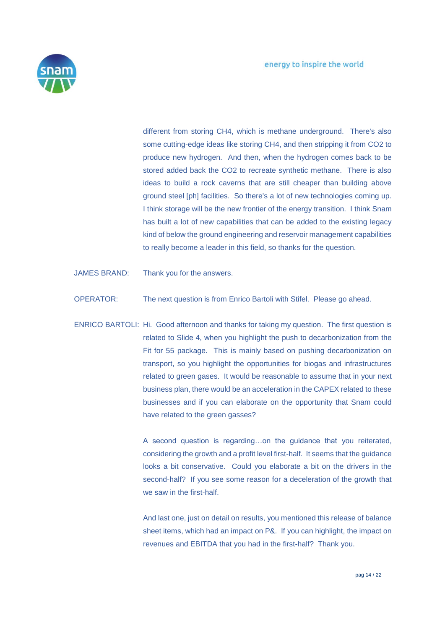

different from storing CH4, which is methane underground. There's also some cutting-edge ideas like storing CH4, and then stripping it from CO2 to produce new hydrogen. And then, when the hydrogen comes back to be stored added back the CO2 to recreate synthetic methane. There is also ideas to build a rock caverns that are still cheaper than building above ground steel [ph] facilities. So there's a lot of new technologies coming up. I think storage will be the new frontier of the energy transition. I think Snam has built a lot of new capabilities that can be added to the existing legacy kind of below the ground engineering and reservoir management capabilities to really become a leader in this field, so thanks for the question.

- JAMES BRAND: Thank you for the answers.
- OPERATOR: The next question is from Enrico Bartoli with Stifel. Please go ahead.
- ENRICO BARTOLI: Hi. Good afternoon and thanks for taking my question. The first question is related to Slide 4, when you highlight the push to decarbonization from the Fit for 55 package. This is mainly based on pushing decarbonization on transport, so you highlight the opportunities for biogas and infrastructures related to green gases. It would be reasonable to assume that in your next business plan, there would be an acceleration in the CAPEX related to these businesses and if you can elaborate on the opportunity that Snam could have related to the green gasses?

A second question is regarding…on the guidance that you reiterated, considering the growth and a profit level first-half. It seems that the guidance looks a bit conservative. Could you elaborate a bit on the drivers in the second-half? If you see some reason for a deceleration of the growth that we saw in the first-half.

And last one, just on detail on results, you mentioned this release of balance sheet items, which had an impact on P&. If you can highlight, the impact on revenues and EBITDA that you had in the first-half? Thank you.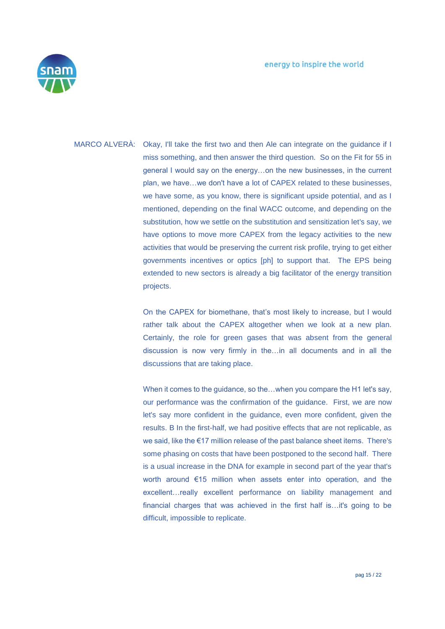

MARCO ALVERÀ: Okay, I'll take the first two and then Ale can integrate on the guidance if I miss something, and then answer the third question. So on the Fit for 55 in general I would say on the energy…on the new businesses, in the current plan, we have…we don't have a lot of CAPEX related to these businesses, we have some, as you know, there is significant upside potential, and as I mentioned, depending on the final WACC outcome, and depending on the substitution, how we settle on the substitution and sensitization let's say, we have options to move more CAPEX from the legacy activities to the new activities that would be preserving the current risk profile, trying to get either governments incentives or optics [ph] to support that. The EPS being extended to new sectors is already a big facilitator of the energy transition projects.

> On the CAPEX for biomethane, that's most likely to increase, but I would rather talk about the CAPEX altogether when we look at a new plan. Certainly, the role for green gases that was absent from the general discussion is now very firmly in the…in all documents and in all the discussions that are taking place.

> When it comes to the guidance, so the…when you compare the H1 let's say, our performance was the confirmation of the guidance. First, we are now let's say more confident in the guidance, even more confident, given the results. B In the first-half, we had positive effects that are not replicable, as we said, like the €17 million release of the past balance sheet items. There's some phasing on costs that have been postponed to the second half. There is a usual increase in the DNA for example in second part of the year that's worth around €15 million when assets enter into operation, and the excellent…really excellent performance on liability management and financial charges that was achieved in the first half is…it's going to be difficult, impossible to replicate.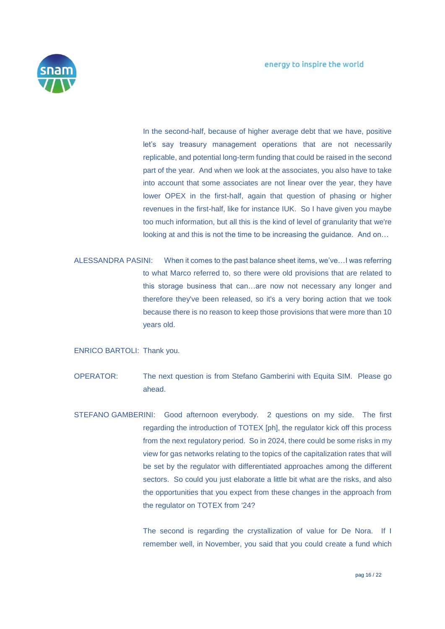

In the second-half, because of higher average debt that we have, positive let's say treasury management operations that are not necessarily replicable, and potential long-term funding that could be raised in the second part of the year. And when we look at the associates, you also have to take into account that some associates are not linear over the year, they have lower OPEX in the first-half, again that question of phasing or higher revenues in the first-half, like for instance IUK. So I have given you maybe too much information, but all this is the kind of level of granularity that we're looking at and this is not the time to be increasing the guidance. And on…

ALESSANDRA PASINI: When it comes to the past balance sheet items, we've…I was referring to what Marco referred to, so there were old provisions that are related to this storage business that can…are now not necessary any longer and therefore they've been released, so it's a very boring action that we took because there is no reason to keep those provisions that were more than 10 years old.

ENRICO BARTOLI: Thank you.

- OPERATOR: The next question is from Stefano Gamberini with Equita SIM. Please go ahead.
- STEFANO GAMBERINI: Good afternoon everybody. 2 questions on my side. The first regarding the introduction of TOTEX [ph], the regulator kick off this process from the next regulatory period. So in 2024, there could be some risks in my view for gas networks relating to the topics of the capitalization rates that will be set by the regulator with differentiated approaches among the different sectors. So could you just elaborate a little bit what are the risks, and also the opportunities that you expect from these changes in the approach from the regulator on TOTEX from '24?

The second is regarding the crystallization of value for De Nora. If I remember well, in November, you said that you could create a fund which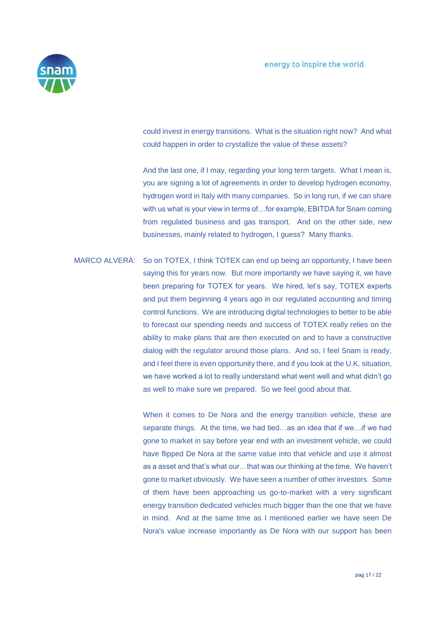

could invest in energy transitions. What is the situation right now? And what could happen in order to crystallize the value of these assets?

And the last one, if I may, regarding your long term targets. What I mean is, you are signing a lot of agreements in order to develop hydrogen economy, hydrogen word in Italy with many companies. So in long run, if we can share with us what is your view in terms of…for example, EBITDA for Snam coming from regulated business and gas transport. And on the other side, new businesses, mainly related to hydrogen, I guess? Many thanks.

MARCO ALVERÀ: So on TOTEX, I think TOTEX can end up being an opportunity, I have been saying this for years now. But more importantly we have saying it, we have been preparing for TOTEX for years. We hired, let's say, TOTEX experts and put them beginning 4 years ago in our regulated accounting and timing control functions. We are introducing digital technologies to better to be able to forecast our spending needs and success of TOTEX really relies on the ability to make plans that are then executed on and to have a constructive dialog with the regulator around those plans. And so, I feel Snam is ready, and I feel there is even opportunity there, and if you look at the U.K. situation, we have worked a lot to really understand what went well and what didn't go as well to make sure we prepared. So we feel good about that.

> When it comes to De Nora and the energy transition vehicle, these are separate things. At the time, we had tied…as an idea that if we…if we had gone to market in say before year end with an investment vehicle, we could have flipped De Nora at the same value into that vehicle and use it almost as a asset and that's what our…that was our thinking at the time. We haven't gone to market obviously. We have seen a number of other investors. Some of them have been approaching us go-to-market with a very significant energy transition dedicated vehicles much bigger than the one that we have in mind. And at the same time as I mentioned earlier we have seen De Nora's value increase importantly as De Nora with our support has been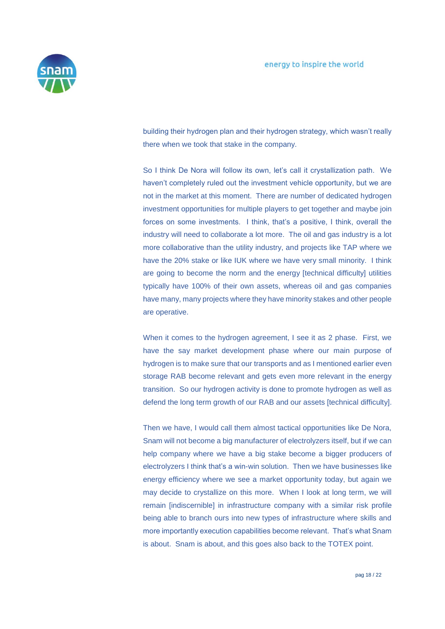

building their hydrogen plan and their hydrogen strategy, which wasn't really there when we took that stake in the company.

So I think De Nora will follow its own, let's call it crystallization path. We haven't completely ruled out the investment vehicle opportunity, but we are not in the market at this moment. There are number of dedicated hydrogen investment opportunities for multiple players to get together and maybe join forces on some investments. I think, that's a positive, I think, overall the industry will need to collaborate a lot more. The oil and gas industry is a lot more collaborative than the utility industry, and projects like TAP where we have the 20% stake or like IUK where we have very small minority. I think are going to become the norm and the energy [technical difficulty] utilities typically have 100% of their own assets, whereas oil and gas companies have many, many projects where they have minority stakes and other people are operative.

When it comes to the hydrogen agreement, I see it as 2 phase. First, we have the say market development phase where our main purpose of hydrogen is to make sure that our transports and as I mentioned earlier even storage RAB become relevant and gets even more relevant in the energy transition. So our hydrogen activity is done to promote hydrogen as well as defend the long term growth of our RAB and our assets [technical difficulty].

Then we have, I would call them almost tactical opportunities like De Nora, Snam will not become a big manufacturer of electrolyzers itself, but if we can help company where we have a big stake become a bigger producers of electrolyzers I think that's a win-win solution. Then we have businesses like energy efficiency where we see a market opportunity today, but again we may decide to crystallize on this more. When I look at long term, we will remain [indiscernible] in infrastructure company with a similar risk profile being able to branch ours into new types of infrastructure where skills and more importantly execution capabilities become relevant. That's what Snam is about. Snam is about, and this goes also back to the TOTEX point.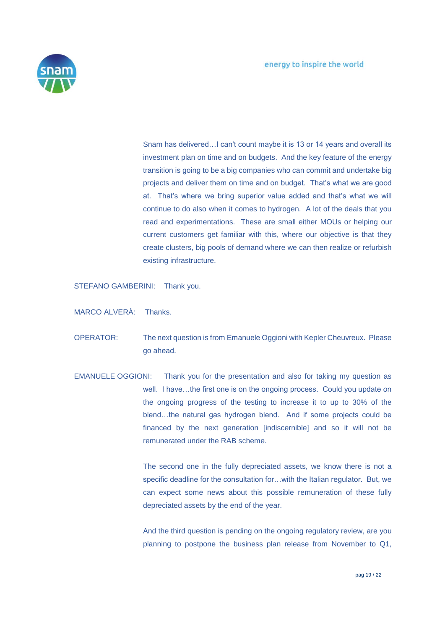

Snam has delivered…I can't count maybe it is 13 or 14 years and overall its investment plan on time and on budgets. And the key feature of the energy transition is going to be a big companies who can commit and undertake big projects and deliver them on time and on budget. That's what we are good at. That's where we bring superior value added and that's what we will continue to do also when it comes to hydrogen. A lot of the deals that you read and experimentations. These are small either MOUs or helping our current customers get familiar with this, where our objective is that they create clusters, big pools of demand where we can then realize or refurbish existing infrastructure.

STEFANO GAMBERINI: Thank you.

MARCO ALVERÀ: Thanks.

- OPERATOR: The next question is from Emanuele Oggioni with Kepler Cheuvreux. Please go ahead.
- EMANUELE OGGIONI: Thank you for the presentation and also for taking my question as well. I have…the first one is on the ongoing process. Could you update on the ongoing progress of the testing to increase it to up to 30% of the blend…the natural gas hydrogen blend. And if some projects could be financed by the next generation [indiscernible] and so it will not be remunerated under the RAB scheme.

The second one in the fully depreciated assets, we know there is not a specific deadline for the consultation for...with the Italian regulator. But, we can expect some news about this possible remuneration of these fully depreciated assets by the end of the year.

And the third question is pending on the ongoing regulatory review, are you planning to postpone the business plan release from November to Q1,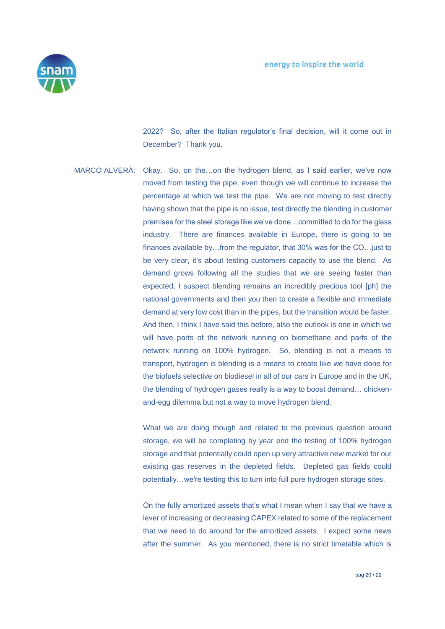

2022? So, after the Italian regulator's final decision, will it come out in December? Thank you.

MARCO ALVERÀ: Okay. So, on the…on the hydrogen blend, as I said earlier, we've now moved from testing the pipe, even though we will continue to increase the percentage at which we test the pipe. We are not moving to test directly having shown that the pipe is no issue, test directly the blending in customer premises for the steel storage like we've done…committed to do for the glass industry. There are finances available in Europe, there is going to be finances available by…from the regulator, that 30% was for the CO…just to be very clear, it's about testing customers capacity to use the blend. As demand grows following all the studies that we are seeing faster than expected, I suspect blending remains an incredibly precious tool [ph] the national governments and then you then to create a flexible and immediate demand at very low cost than in the pipes, but the transition would be faster. And then, I think I have said this before, also the outlook is one in which we will have parts of the network running on biomethane and parts of the network running on 100% hydrogen. So, blending is not a means to transport, hydrogen is blending is a means to create like we have done for the biofuels selective on biodiesel in all of our cars in Europe and in the UK, the blending of hydrogen gases really is a way to boost demand… chickenand-egg dilemma but not a way to move hydrogen blend.

> What we are doing though and related to the previous question around storage, we will be completing by year end the testing of 100% hydrogen storage and that potentially could open up very attractive new market for our existing gas reserves in the depleted fields. Depleted gas fields could potentially…we're testing this to turn into full pure hydrogen storage sites.

> On the fully amortized assets that's what I mean when I say that we have a lever of increasing or decreasing CAPEX related to some of the replacement that we need to do around for the amortized assets. I expect some news after the summer. As you mentioned, there is no strict timetable which is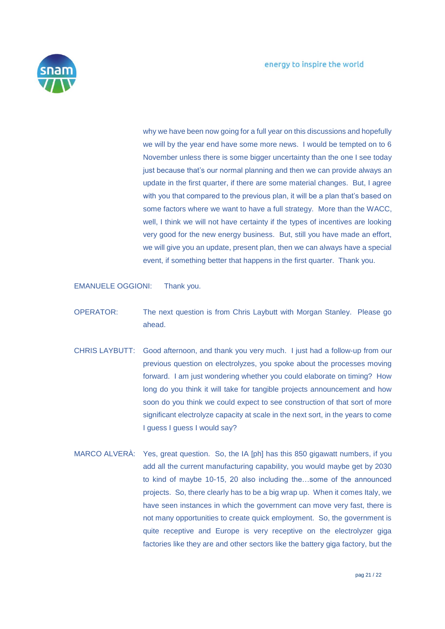

why we have been now going for a full year on this discussions and hopefully we will by the year end have some more news. I would be tempted on to 6 November unless there is some bigger uncertainty than the one I see today just because that's our normal planning and then we can provide always an update in the first quarter, if there are some material changes. But, I agree with you that compared to the previous plan, it will be a plan that's based on some factors where we want to have a full strategy. More than the WACC, well, I think we will not have certainty if the types of incentives are looking very good for the new energy business. But, still you have made an effort, we will give you an update, present plan, then we can always have a special event, if something better that happens in the first quarter. Thank you.

EMANUELE OGGIONI: Thank you.

- OPERATOR: The next question is from Chris Laybutt with Morgan Stanley. Please go ahead.
- CHRIS LAYBUTT: Good afternoon, and thank you very much. I just had a follow-up from our previous question on electrolyzes, you spoke about the processes moving forward. I am just wondering whether you could elaborate on timing? How long do you think it will take for tangible projects announcement and how soon do you think we could expect to see construction of that sort of more significant electrolyze capacity at scale in the next sort, in the years to come I guess I guess I would say?
- MARCO ALVERÀ: Yes, great question. So, the IA [ph] has this 850 gigawatt numbers, if you add all the current manufacturing capability, you would maybe get by 2030 to kind of maybe 10-15, 20 also including the…some of the announced projects. So, there clearly has to be a big wrap up. When it comes Italy, we have seen instances in which the government can move very fast, there is not many opportunities to create quick employment. So, the government is quite receptive and Europe is very receptive on the electrolyzer giga factories like they are and other sectors like the battery giga factory, but the